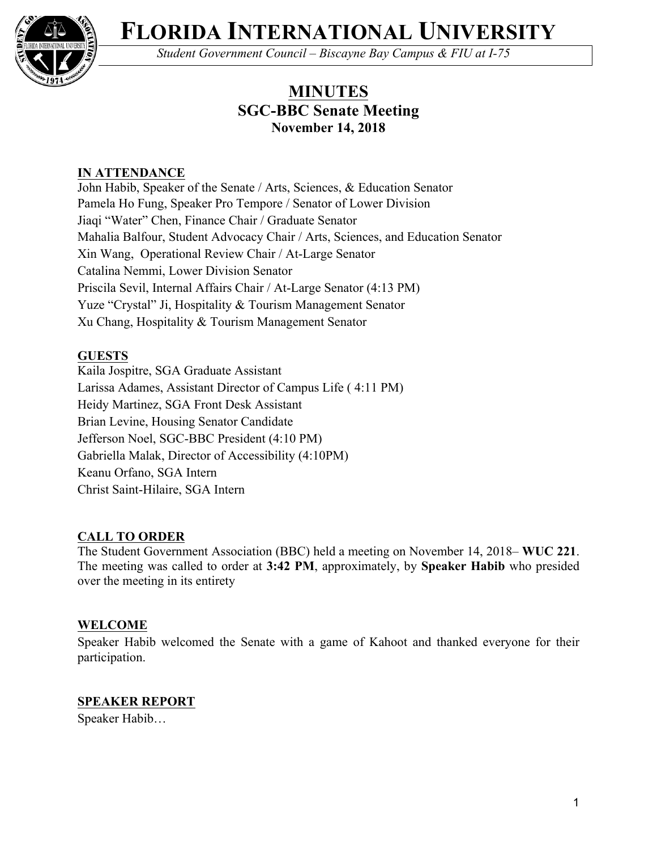

**FLORIDA INTERNATIONAL UNIVERSITY**

*Student Government Council – Biscayne Bay Campus & FIU at I-75*

# **MINUTES SGC-BBC Senate Meeting November 14, 2018**

# **IN ATTENDANCE**

John Habib, Speaker of the Senate / Arts, Sciences, & Education Senator Pamela Ho Fung, Speaker Pro Tempore / Senator of Lower Division Jiaqi "Water" Chen, Finance Chair / Graduate Senator Mahalia Balfour, Student Advocacy Chair / Arts, Sciences, and Education Senator Xin Wang, Operational Review Chair / At-Large Senator Catalina Nemmi, Lower Division Senator Priscila Sevil, Internal Affairs Chair / At-Large Senator (4:13 PM) Yuze "Crystal" Ji, Hospitality & Tourism Management Senator Xu Chang, Hospitality & Tourism Management Senator

# **GUESTS**

Kaila Jospitre, SGA Graduate Assistant Larissa Adames, Assistant Director of Campus Life ( 4:11 PM) Heidy Martinez, SGA Front Desk Assistant Brian Levine, Housing Senator Candidate Jefferson Noel, SGC-BBC President (4:10 PM) Gabriella Malak, Director of Accessibility (4:10PM) Keanu Orfano, SGA Intern Christ Saint-Hilaire, SGA Intern

# **CALL TO ORDER**

The Student Government Association (BBC) held a meeting on November 14, 2018– **WUC 221**. The meeting was called to order at **3:42 PM**, approximately, by **Speaker Habib** who presided over the meeting in its entirety

# **WELCOME**

Speaker Habib welcomed the Senate with a game of Kahoot and thanked everyone for their participation.

# **SPEAKER REPORT**

Speaker Habib…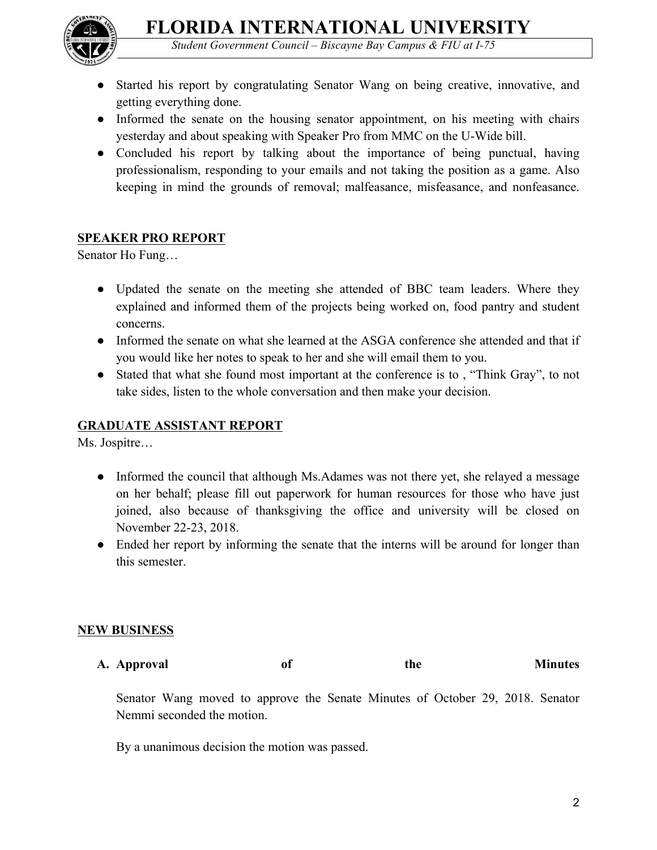

- *Student Government Council – Biscayne Bay Campus & FIU at I-75*
- Started his report by congratulating Senator Wang on being creative, innovative, and getting everything done.
- Informed the senate on the housing senator appointment, on his meeting with chairs yesterday and about speaking with Speaker Pro from MMC on the U-Wide bill.
- Concluded his report by talking about the importance of being punctual, having professionalism, responding to your emails and not taking the position as a game. Also keeping in mind the grounds of removal; malfeasance, misfeasance, and nonfeasance.

# **SPEAKER PRO REPORT**

Senator Ho Fung…

- Updated the senate on the meeting she attended of BBC team leaders. Where they explained and informed them of the projects being worked on, food pantry and student concerns.
- Informed the senate on what she learned at the ASGA conference she attended and that if you would like her notes to speak to her and she will email them to you.
- Stated that what she found most important at the conference is to, "Think Gray", to not take sides, listen to the whole conversation and then make your decision.

# **GRADUATE ASSISTANT REPORT**

Ms. Jospitre…

- Informed the council that although Ms. Adames was not there yet, she relayed a message on her behalf; please fill out paperwork for human resources for those who have just joined, also because of thanksgiving the office and university will be closed on November 22-23, 2018.
- Ended her report by informing the senate that the interns will be around for longer than this semester.

#### **NEW BUSINESS**

**A. Approval of the Minutes**

Senator Wang moved to approve the Senate Minutes of October 29, 2018. Senator Nemmi seconded the motion.

By a unanimous decision the motion was passed.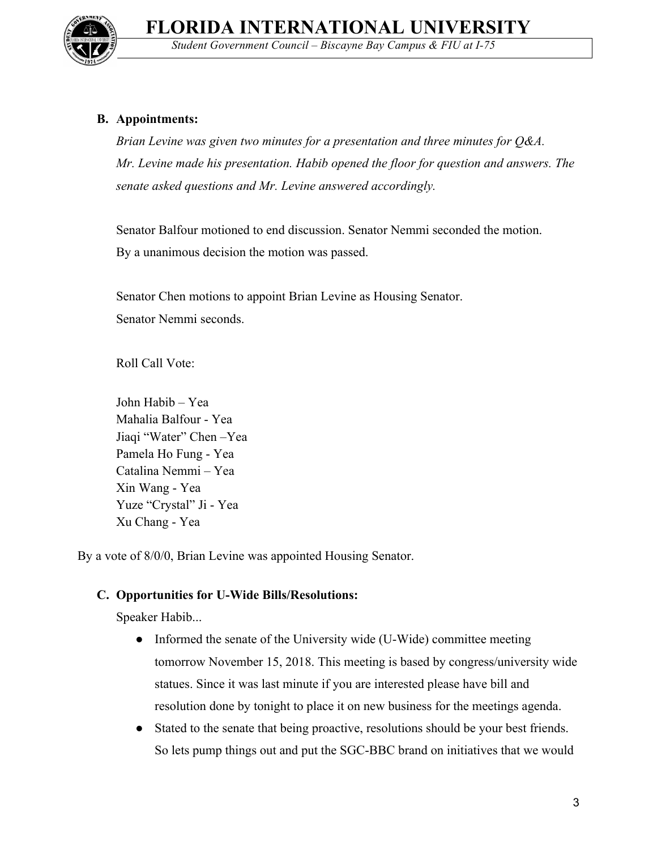

*Student Government Council – Biscayne Bay Campus & FIU at I-75*

#### **B. Appointments:**

*Brian Levine was given two minutes for a presentation and three minutes for Q&A. Mr. Levine made his presentation. Habib opened the floor for question and answers. The senate asked questions and Mr. Levine answered accordingly.*

Senator Balfour motioned to end discussion. Senator Nemmi seconded the motion. By a unanimous decision the motion was passed.

Senator Chen motions to appoint Brian Levine as Housing Senator. Senator Nemmi seconds.

Roll Call Vote:

John Habib – Yea Mahalia Balfour - Yea Jiaqi "Water" Chen –Yea Pamela Ho Fung - Yea Catalina Nemmi – Yea Xin Wang - Yea Yuze "Crystal" Ji - Yea Xu Chang - Yea

By a vote of 8/0/0, Brian Levine was appointed Housing Senator.

#### **C. Opportunities for U-Wide Bills/Resolutions:**

Speaker Habib...

- Informed the senate of the University wide (U-Wide) committee meeting tomorrow November 15, 2018. This meeting is based by congress/university wide statues. Since it was last minute if you are interested please have bill and resolution done by tonight to place it on new business for the meetings agenda.
- Stated to the senate that being proactive, resolutions should be your best friends. So lets pump things out and put the SGC-BBC brand on initiatives that we would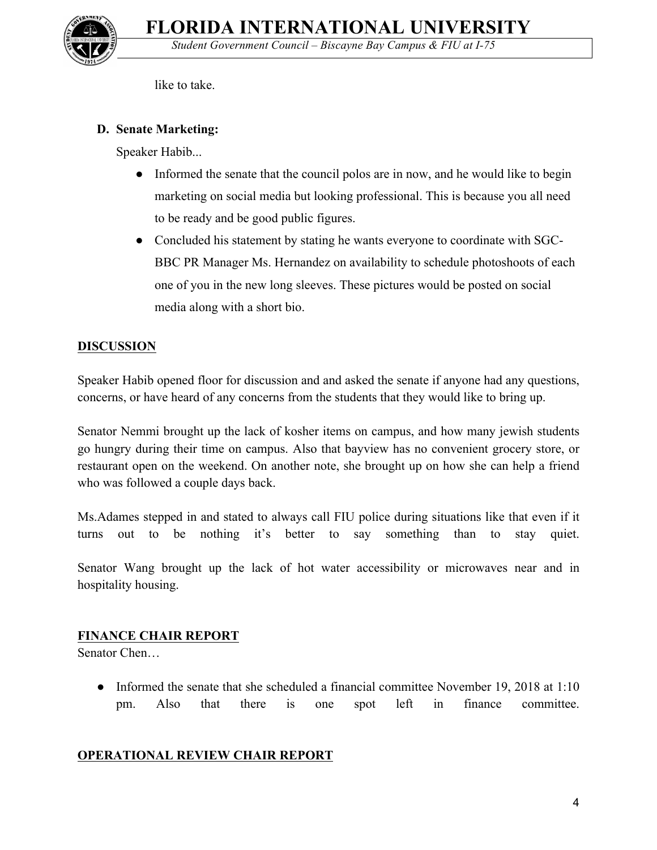

like to take.

# **D. Senate Marketing:**

Speaker Habib...

- Informed the senate that the council polos are in now, and he would like to begin marketing on social media but looking professional. This is because you all need to be ready and be good public figures.
- Concluded his statement by stating he wants everyone to coordinate with SGC-BBC PR Manager Ms. Hernandez on availability to schedule photoshoots of each one of you in the new long sleeves. These pictures would be posted on social media along with a short bio.

# **DISCUSSION**

Speaker Habib opened floor for discussion and and asked the senate if anyone had any questions, concerns, or have heard of any concerns from the students that they would like to bring up.

Senator Nemmi brought up the lack of kosher items on campus, and how many jewish students go hungry during their time on campus. Also that bayview has no convenient grocery store, or restaurant open on the weekend. On another note, she brought up on how she can help a friend who was followed a couple days back.

Ms.Adames stepped in and stated to always call FIU police during situations like that even if it turns out to be nothing it's better to say something than to stay quiet.

Senator Wang brought up the lack of hot water accessibility or microwaves near and in hospitality housing.

# **FINANCE CHAIR REPORT**

Senator Chen…

• Informed the senate that she scheduled a financial committee November 19, 2018 at 1:10 pm. Also that there is one spot left in finance committee.

# **OPERATIONAL REVIEW CHAIR REPORT**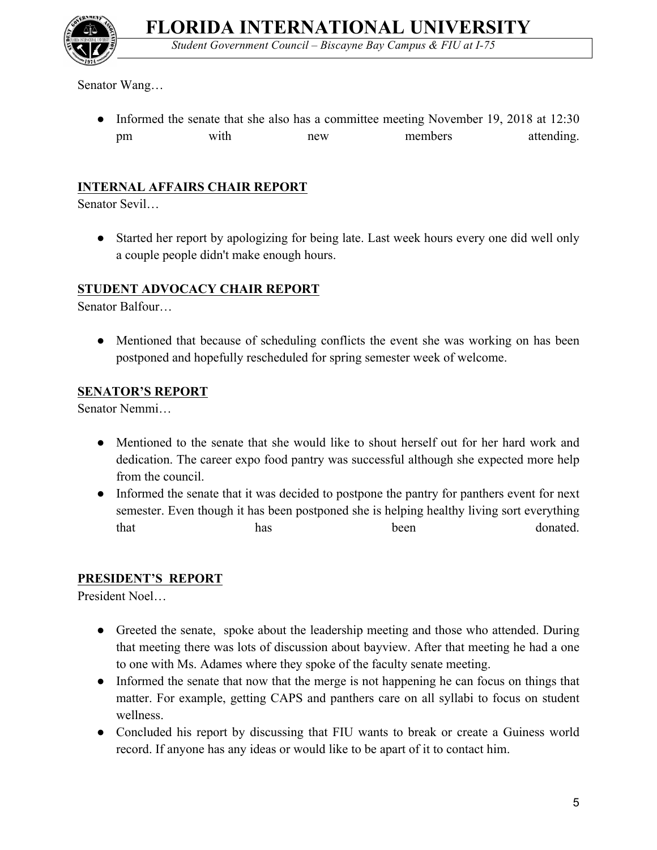*Student Government Council – Biscayne Bay Campus & FIU at I-75*



Senator Wang…

• Informed the senate that she also has a committee meeting November 19, 2018 at 12:30 pm with new members attending.

# **INTERNAL AFFAIRS CHAIR REPORT**

Senator Sevil…

● Started her report by apologizing for being late. Last week hours every one did well only a couple people didn't make enough hours.

### **STUDENT ADVOCACY CHAIR REPORT**

Senator Balfour…

• Mentioned that because of scheduling conflicts the event she was working on has been postponed and hopefully rescheduled for spring semester week of welcome.

### **SENATOR'S REPORT**

Senator Nemmi…

- Mentioned to the senate that she would like to shout herself out for her hard work and dedication. The career expo food pantry was successful although she expected more help from the council.
- Informed the senate that it was decided to postpone the pantry for panthers event for next semester. Even though it has been postponed she is helping healthy living sort everything that has has been donated.

# **PRESIDENT'S REPORT**

President Noel…

- Greeted the senate, spoke about the leadership meeting and those who attended. During that meeting there was lots of discussion about bayview. After that meeting he had a one to one with Ms. Adames where they spoke of the faculty senate meeting.
- Informed the senate that now that the merge is not happening he can focus on things that matter. For example, getting CAPS and panthers care on all syllabi to focus on student wellness.
- Concluded his report by discussing that FIU wants to break or create a Guiness world record. If anyone has any ideas or would like to be apart of it to contact him.